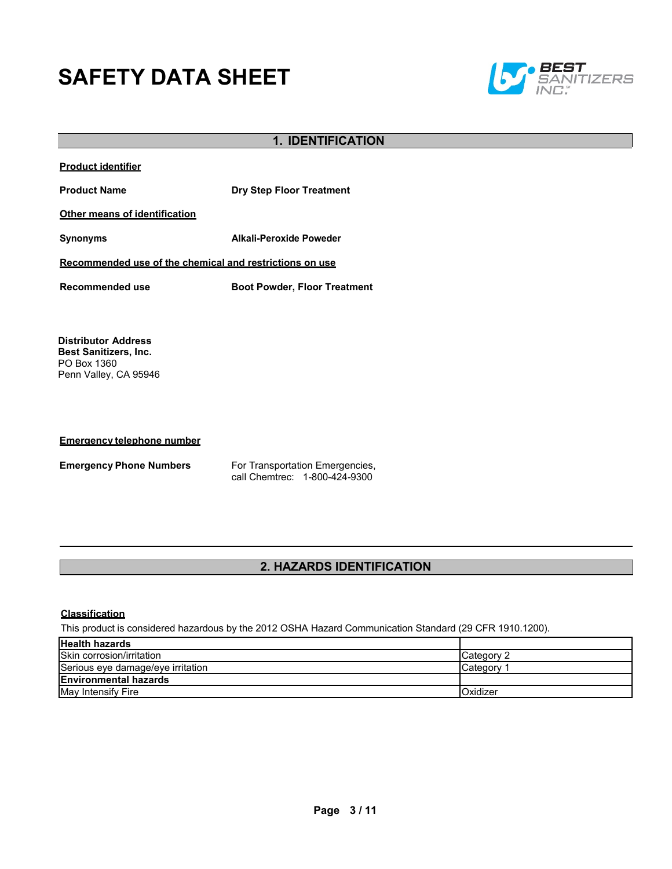# **SAFETY DATA SHEET**



# **1. IDENTIFICATION**

| <b>Product identifier</b>                                                                          |                                     |  |
|----------------------------------------------------------------------------------------------------|-------------------------------------|--|
| <b>Product Name</b>                                                                                | <b>Dry Step Floor Treatment</b>     |  |
| <b>Other means of identification</b>                                                               |                                     |  |
| <b>Synonyms</b>                                                                                    | Alkali-Peroxide Poweder             |  |
| Recommended use of the chemical and restrictions on use                                            |                                     |  |
| Recommended use                                                                                    | <b>Boot Powder, Floor Treatment</b> |  |
|                                                                                                    |                                     |  |
| <b>Distributor Address</b><br><b>Best Sanitizers, Inc.</b><br>PO Box 1360<br>Penn Valley, CA 95946 |                                     |  |

#### **Emergency telephone number**

**Emergency Phone Numbers** For Transportation Emergencies, call Chemtrec: 1-800-424-9300

# **2. HAZARDS IDENTIFICATION**

# **Classification**

This product is considered hazardous by the 2012 OSHA Hazard Communication Standard (29 CFR 1910.1200).

| <b>Health hazards</b>             |                  |
|-----------------------------------|------------------|
| Skin corrosion/irritation         | Category 2       |
| Serious eye damage/eye irritation | <b>ICategory</b> |
| <b>Environmental hazards</b>      |                  |
| May Intensify Fire                | <b>Oxidizer</b>  |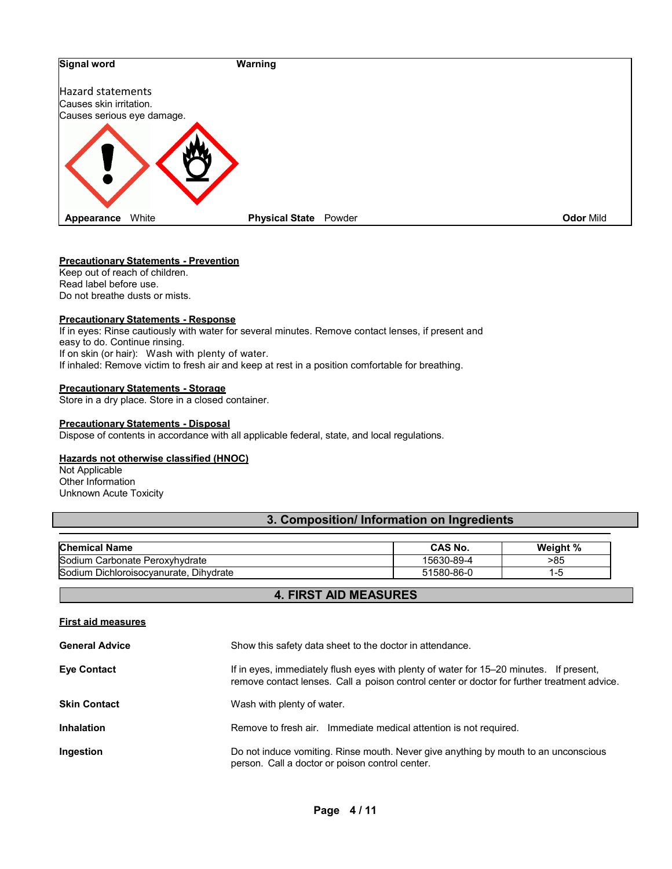

#### **Precautionary Statements - Prevention**

Keep out of reach of children. Read label before use. Do not breathe dusts or mists.

#### **Precautionary Statements - Response**

If in eyes: Rinse cautiously with water for several minutes. Remove contact lenses, if present and easy to do. Continue rinsing. If on skin (or hair): Wash with plenty of water. If inhaled: Remove victim to fresh air and keep at rest in a position comfortable for breathing.

#### **Precautionary Statements - Storage**

Store in a dry place. Store in a closed container.

#### **Precautionary Statements - Disposal**

Dispose of contents in accordance with all applicable federal, state, and local regulations.

#### **Hazards not otherwise classified (HNOC)**

Not Applicable Other Information Unknown Acute Toxicity

# **3. Composition/ Information on Ingredients**

| <b>Chemical Name</b>                      | <b>CAS No.</b> | Weight % |
|-------------------------------------------|----------------|----------|
| Sodium<br>∟Carbonate Peroxvhvdrate        | 15630-89-4     | -85      |
| Sodium Dichloroisocvanurate.<br>Dihvdrate | 51580-86-ს     | l - 5    |

### **4. FIRST AID MEASURES**

# **First aid measures**

| <b>General Advice</b> | Show this safety data sheet to the doctor in attendance.                                                                                                                              |
|-----------------------|---------------------------------------------------------------------------------------------------------------------------------------------------------------------------------------|
| <b>Eye Contact</b>    | If in eyes, immediately flush eyes with plenty of water for 15–20 minutes. If present,<br>remove contact lenses. Call a poison control center or doctor for further treatment advice. |
| <b>Skin Contact</b>   | Wash with plenty of water.                                                                                                                                                            |
| <b>Inhalation</b>     | Remove to fresh air. Immediate medical attention is not required.                                                                                                                     |
| Ingestion             | Do not induce vomiting. Rinse mouth. Never give anything by mouth to an unconscious<br>person. Call a doctor or poison control center.                                                |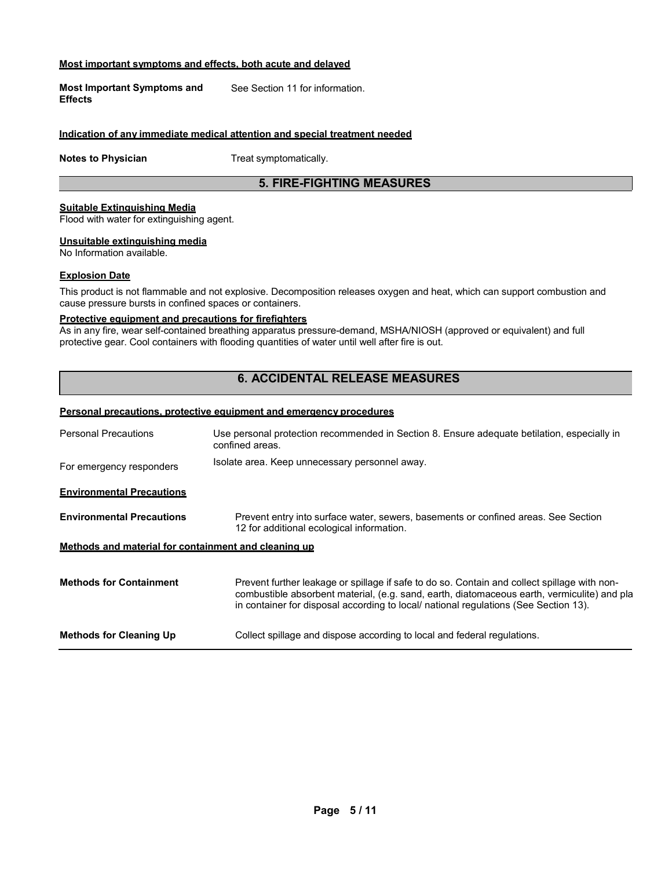#### **Most important symptoms and effects, both acute and delayed**

**Most Important Symptoms and Effects** See Section 11 for information.

#### **Indication of any immediate medical attention and special treatment needed**

**Notes to Physician** Treat symptomatically.

### **5. FIRE-FIGHTING MEASURES**

#### **Suitable Extinguishing Media**

Flood with water for extinguishing agent.

#### **Unsuitable extinguishing media**

No Information available.

#### **Explosion Date**

This product is not flammable and not explosive. Decomposition releases oxygen and heat, which can support combustion and cause pressure bursts in confined spaces or containers.

#### **Protective equipment and precautions for firefighters**

As in any fire, wear self-contained breathing apparatus pressure-demand, MSHA/NIOSH (approved or equivalent) and full protective gear. Cool containers with flooding quantities of water until well after fire is out.

# **6. ACCIDENTAL RELEASE MEASURES**

#### **Personal precautions, protective equipment and emergency procedures**

| <b>Personal Precautions</b>                          | Use personal protection recommended in Section 8. Ensure adequate betilation, especially in<br>confined areas.                                                                                                                                                                      |  |  |
|------------------------------------------------------|-------------------------------------------------------------------------------------------------------------------------------------------------------------------------------------------------------------------------------------------------------------------------------------|--|--|
| For emergency responders                             | Isolate area. Keep unnecessary personnel away.                                                                                                                                                                                                                                      |  |  |
| <b>Environmental Precautions</b>                     |                                                                                                                                                                                                                                                                                     |  |  |
| <b>Environmental Precautions</b>                     | Prevent entry into surface water, sewers, basements or confined areas. See Section<br>12 for additional ecological information.                                                                                                                                                     |  |  |
| Methods and material for containment and cleaning up |                                                                                                                                                                                                                                                                                     |  |  |
| <b>Methods for Containment</b>                       | Prevent further leakage or spillage if safe to do so. Contain and collect spillage with non-<br>combustible absorbent material, (e.g. sand, earth, diatomaceous earth, vermiculite) and pla<br>in container for disposal according to local/ national regulations (See Section 13). |  |  |
| <b>Methods for Cleaning Up</b>                       | Collect spillage and dispose according to local and federal regulations.                                                                                                                                                                                                            |  |  |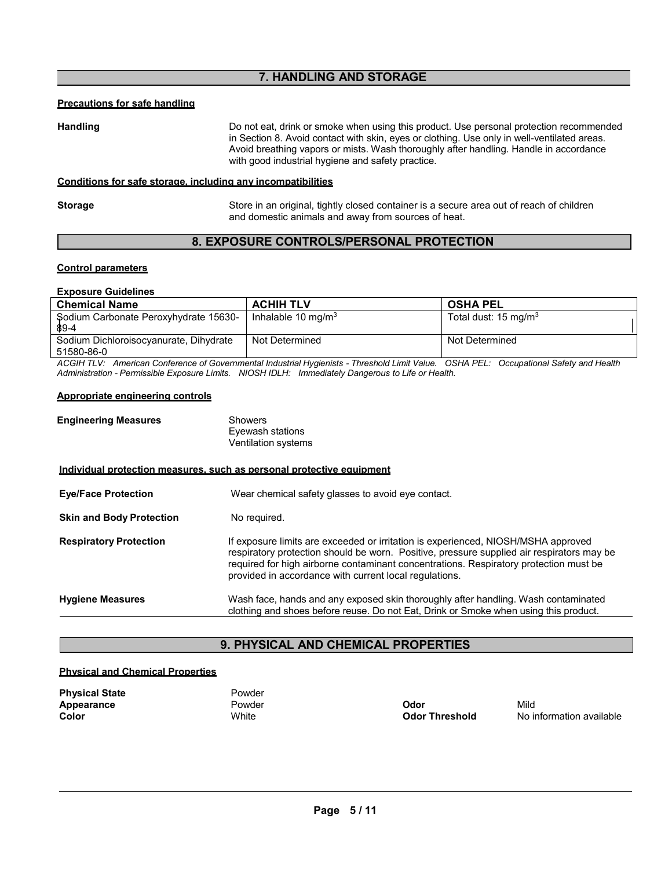# **7. HANDLING AND STORAGE**

#### **Precautions for safe handling**

**Handling** Do not eat, drink or smoke when using this product. Use personal protection recommended in Section 8. Avoid contact with skin, eyes or clothing. Use only in well-ventilated areas. Avoid breathing vapors or mists. Wash thoroughly after handling. Handle in accordance with good industrial hygiene and safety practice.

#### **Conditions for safe storage, including any incompatibilities**

**Storage** Store in an original, tightly closed container is a secure area out of reach of children and domestic animals and away from sources of heat.

# **8. EXPOSURE CONTROLS/PERSONAL PROTECTION**

#### **Control parameters**

#### **Exposure Guidelines**

| <b>Chemical Name</b>                                 | <b>ACHIH TLV</b>      | <b>OSHA PEL</b>                 |
|------------------------------------------------------|-----------------------|---------------------------------|
| Sodium Carbonate Peroxyhydrate 15630-<br>89-4        | Inhalable 10 mg/m $3$ | Total dust: $15 \text{ mg/m}^3$ |
| Sodium Dichloroisocyanurate, Dihydrate<br>51580-86-0 | Not Determined        | Not Determined                  |

*ACGIH TLV: American Conference of Governmental Industrial Hygienists - Threshold Limit Value. OSHA PEL: Occupational Safety and Health Administration - Permissible Exposure Limits. NIOSH IDLH: Immediately Dangerous to Life or Health.*

#### **Appropriate engineering controls**

| <b>Engineering Measures</b> | Showers             |
|-----------------------------|---------------------|
|                             | Eyewash stations    |
|                             | Ventilation systems |

**Individual protection measures, such as personal protective equipment**

| <b>Eve/Face Protection</b>      | Wear chemical safety glasses to avoid eye contact.                                                                                                                                                                                                                                                                                |
|---------------------------------|-----------------------------------------------------------------------------------------------------------------------------------------------------------------------------------------------------------------------------------------------------------------------------------------------------------------------------------|
| <b>Skin and Body Protection</b> | No required.                                                                                                                                                                                                                                                                                                                      |
| <b>Respiratory Protection</b>   | If exposure limits are exceeded or irritation is experienced, NIOSH/MSHA approved<br>respiratory protection should be worn. Positive, pressure supplied air respirators may be<br>required for high airborne contaminant concentrations. Respiratory protection must be<br>provided in accordance with current local regulations. |
| <b>Hygiene Measures</b>         | Wash face, hands and any exposed skin thoroughly after handling. Wash contaminated<br>clothing and shoes before reuse. Do not Eat, Drink or Smoke when using this product.                                                                                                                                                        |

# **9. PHYSICAL AND CHEMICAL PROPERTIES**

#### **Physical and Chemical Properties**

| <b>Physical State</b> | Powder |                       |      |
|-----------------------|--------|-----------------------|------|
| Appearance            | Powder | Odor                  | Mild |
| Color                 | White  | <b>Odor Threshold</b> | No i |

**Color Threshold** Monitor available **Odor Threshold** No information available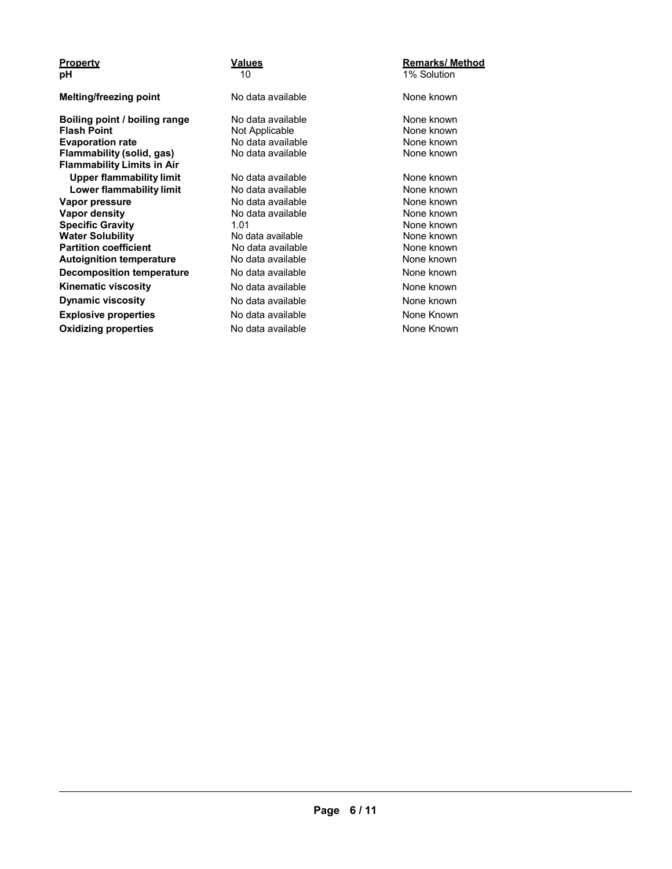| <b>Property</b>                   | <b>Values</b>     | <b>Remarks/ Method</b> |
|-----------------------------------|-------------------|------------------------|
| рH                                | 10                | 1% Solution            |
| Melting/freezing point            | No data available | None known             |
| Boiling point / boiling range     | No data available | None known             |
| <b>Flash Point</b>                | Not Applicable    | None known             |
| <b>Evaporation rate</b>           | No data available | None known             |
| Flammability (solid, gas)         | No data available | None known             |
| <b>Flammability Limits in Air</b> |                   |                        |
| <b>Upper flammability limit</b>   | No data available | None known             |
| Lower flammability limit          | No data available | None known             |
| Vapor pressure                    | No data available | None known             |
| <b>Vapor density</b>              | No data available | None known             |
| <b>Specific Gravity</b>           | 1.01              | None known             |
| <b>Water Solubility</b>           | No data available | None known             |
| <b>Partition coefficient</b>      | No data available | None known             |
| <b>Autoignition temperature</b>   | No data available | None known             |
| <b>Decomposition temperature</b>  | No data available | None known             |
| <b>Kinematic viscosity</b>        | No data available | None known             |
| <b>Dynamic viscosity</b>          | No data available | None known             |
| <b>Explosive properties</b>       | No data available | None Known             |
| <b>Oxidizing properties</b>       | No data available | None Known             |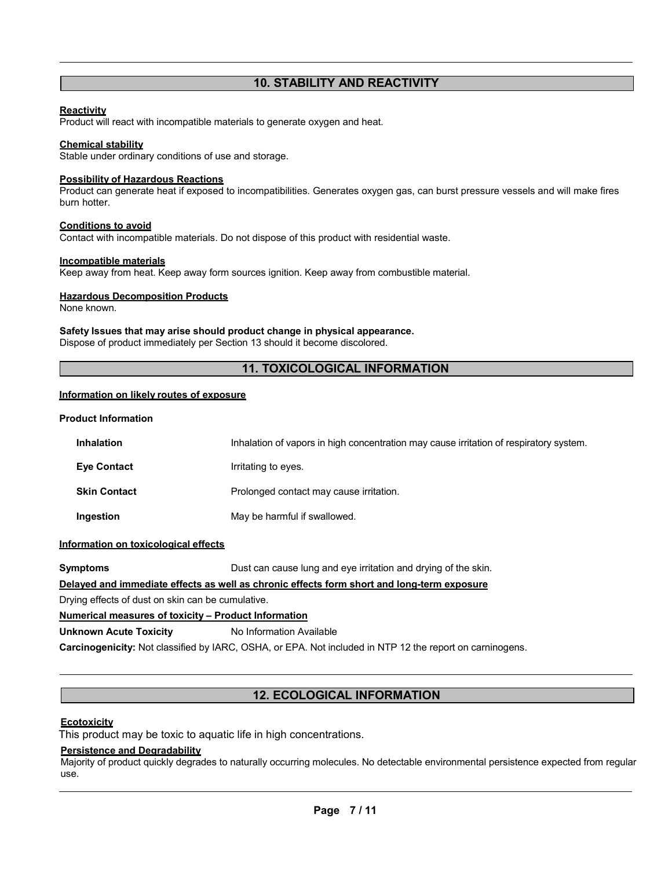# **10. STABILITY AND REACTIVITY**

#### **Reactivity**

Product will react with incompatible materials to generate oxygen and heat.

#### **Chemical stability**

Stable under ordinary conditions of use and storage.

#### **Possibility of Hazardous Reactions**

Product can generate heat if exposed to incompatibilities. Generates oxygen gas, can burst pressure vessels and will make fires burn hotter.

#### **Conditions to avoid**

Contact with incompatible materials. Do not dispose of this product with residential waste.

#### **Incompatible materials**

Keep away from heat. Keep away form sources ignition. Keep away from combustible material.

#### **Hazardous Decomposition Products**

None known.

#### **Safety Issues that may arise should product change in physical appearance.**

Dispose of product immediately per Section 13 should it become discolored.

# **11. TOXICOLOGICAL INFORMATION**

#### **Information on likely routes of exposure**

#### **Product Information**

| <b>Inhalation</b>   | Inhalation of vapors in high concentration may cause irritation of respiratory system. |
|---------------------|----------------------------------------------------------------------------------------|
| <b>Eye Contact</b>  | Irritating to eyes.                                                                    |
| <b>Skin Contact</b> | Prolonged contact may cause irritation.                                                |
| Ingestion           | May be harmful if swallowed.                                                           |

#### **Information on toxicological effects**

**Symptoms Dust can cause lung and eye irritation and drying of the skin.** 

#### **Delayed and immediate effects as well as chronic effects form short and long-term exposure**

Drying effects of dust on skin can be cumulative.

#### **Numerical measures of toxicity – Product Information**

#### **Unknown Acute Toxicity** No Information Available

**Carcinogenicity:** Not classified by IARC, OSHA, or EPA. Not included in NTP 12 the report on carninogens.

# **12. ECOLOGICAL INFORMATION**

#### **Ecotoxicity**

This product may be toxic to aquatic life in high concentrations.

#### **Persistence and Degradability**

Majority of product quickly degrades to naturally occurring molecules. No detectable environmental persistence expected from regular use.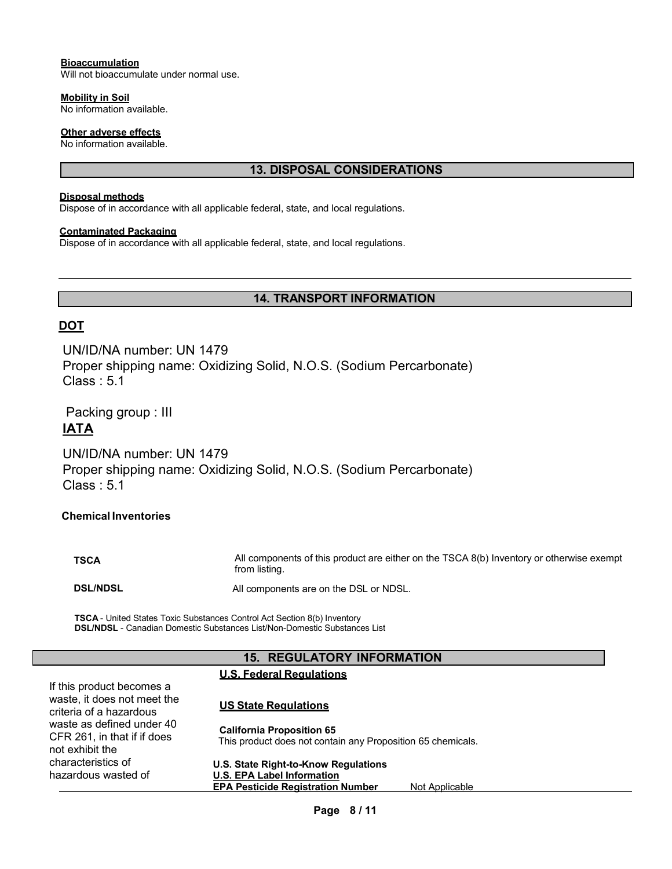#### **Bioaccumulation**

Will not bioaccumulate under normal use.

#### **Mobility in Soil**

No information available.

#### **Other adverse effects**

No information available.

# **13. DISPOSAL CONSIDERATIONS**

#### **Disposal methods**

Dispose of in accordance with all applicable federal, state, and local regulations.

#### **Contaminated Packaging**

Dispose of in accordance with all applicable federal, state, and local regulations.

# **14. TRANSPORT INFORMATION**

# **DOT**

UN/ID/NA number: UN 1479 Proper shipping name: Oxidizing Solid, N.O.S. (Sodium Percarbonate) Class : 5.1

 Packing group : III **IATA**

UN/ID/NA number: UN 1479 Proper shipping name: Oxidizing Solid, N.O.S. (Sodium Percarbonate)  $Class: 5.1$ 

#### **Chemical Inventories**

**TSCA** All components of this product are either on the TSCA 8(b) Inventory or otherwise exempt from listing. **DSL/NDSL All components are on the DSL or NDSL.** 

**TSCA** - United States Toxic Substances Control Act Section 8(b) Inventory **DSL/NDSL** - Canadian Domestic Substances List/Non-Domestic Substances List

### 15. REGULATORY **INFORMATION**

### **U.S. Federal Regulations**

| If this product becomes a<br>waste, it does not meet the<br>criteria of a hazardous | <b>US State Regulations</b>                                                                     |
|-------------------------------------------------------------------------------------|-------------------------------------------------------------------------------------------------|
| waste as defined under 40<br>CFR 261, in that if if does<br>not exhibit the         | <b>California Proposition 65</b><br>This product does not contain any Proposition 65 chemicals. |
| characteristics of                                                                  | U.S. State Right-to-Know Regulations                                                            |
| hazardous wasted of                                                                 | <b>U.S. EPA Label Information</b>                                                               |
|                                                                                     | <b>EPA Pesticide Registration Number</b><br>Not Applicable                                      |